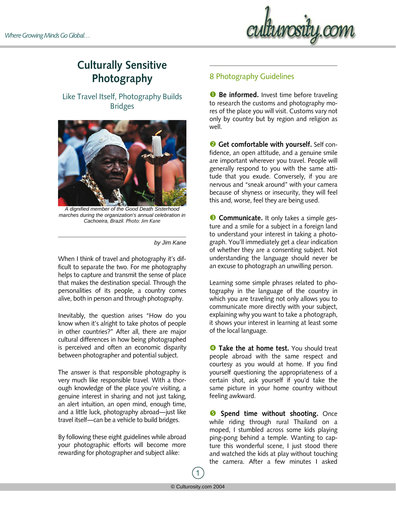

## **Culturally Sensitive Photography**

Like Travel Itself, Photography Builds Bridges



*A dignified member of the Good Death Sisterhood marches during the organization's annual celebration in Cachoeira, Brazil. Photo: Jim Kane*

*by Jim Kane* 

When I think of travel and photography it's difficult to separate the two. For me photography helps to capture and transmit the sense of place that makes the destination special. Through the personalities of its people, a country comes alive, both in person and through photography.

Inevitably, the question arises "How do you know when it's alright to take photos of people in other countries?" After all, there are major cultural differences in how being photographed is perceived and often an economic disparity between photographer and potential subject.

The answer is that responsible photography is very much like responsible travel. With a thorough knowledge of the place you're visiting, a genuine interest in sharing and not just taking, an alert intuition, an open mind, enough time, and a little luck, photography abroad—just like travel itself—can be a vehicle to build bridges.

By following these eight guidelines while abroad your photographic efforts will become more rewarding for photographer and subject alike:

## 8 Photography Guidelines

**O** Be informed. Invest time before traveling to research the customs and photography mores of the place you will visit. Customs vary not only by country but by region and religion as well.

**<sup>2</sup>** Get comfortable with yourself. Self confidence, an open attitude, and a genuine smile are important wherever you travel. People will generally respond to you with the same attitude that you exude. Conversely, if you are nervous and "sneak around" with your camera because of shyness or insecurity, they will feel this and, worse, feel they are being used.

 $\bullet$  **Communicate.** It only takes a simple gesture and a smile for a subject in a foreign land to understand your interest in taking a photograph. You'll immediately get a clear indication of whether they are a consenting subject. Not understanding the language should never be an excuse to photograph an unwilling person.

Learning some simple phrases related to photography in the language of the country in which you are traveling not only allows you to communicate more directly with your subject, explaining why you want to take a photograph, it shows your interest in learning at least some of the local language.

**Q Take the at home test.** You should treat people abroad with the same respect and courtesy as you would at home. If you find yourself questioning the appropriateness of a certain shot, ask yourself if you'd take the same picture in your home country without feeling awkward.

**9** Spend time without shooting. Once while riding through rural Thailand on a moped, I stumbled across some kids playing ping-pong behind a temple. Wanting to capture this wonderful scene, I just stood there and watched the kids at play without touching the camera. After a few minutes I asked

1